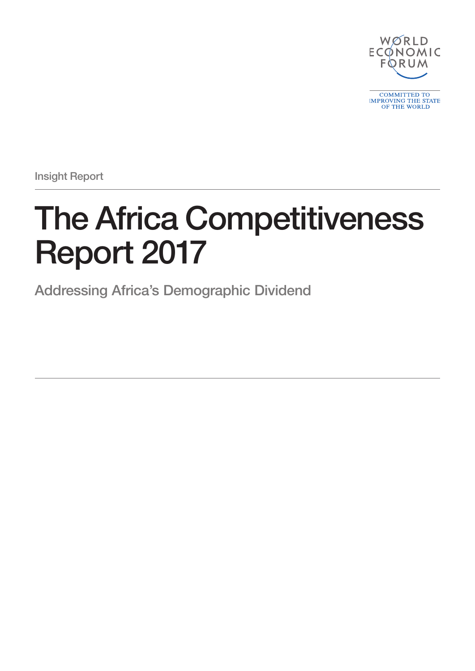

Insight Report

# The Africa Competitiveness Report 2017

Addressing Africa's Demographic Dividend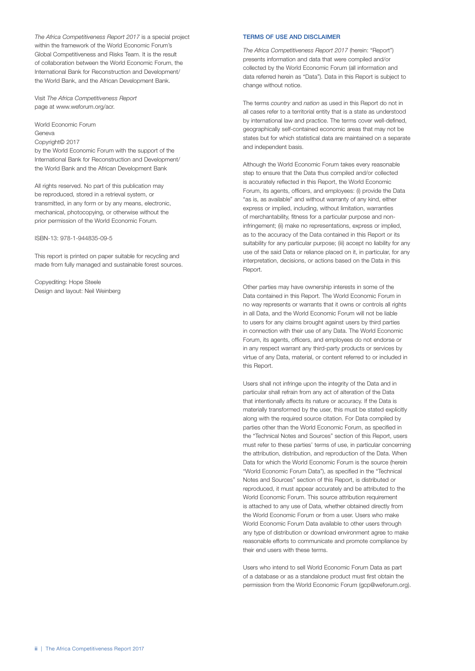*The Africa Competitiveness Report 2017* is a special project within the framework of the World Economic Forum's Global Competitiveness and Risks Team. It is the result of collaboration between the World Economic Forum, the International Bank for Reconstruction and Development/ the World Bank, and the African Development Bank.

Visit *The Africa Competitiveness Report* page at www.weforum.org/acr.

World Economic Forum Geneva

Copyright© 2017

by the World Economic Forum with the support of the International Bank for Reconstruction and Development/ the World Bank and the African Development Bank

All rights reserved. No part of this publication may be reproduced, stored in a retrieval system, or transmitted, in any form or by any means, electronic, mechanical, photocopying, or otherwise without the prior permission of the World Economic Forum.

ISBN-13: 978-1-944835-09-5

This report is printed on paper suitable for recycling and made from fully managed and sustainable forest sources.

Copyediting: Hope Steele Design and layout: Neil Weinberg

#### TERMS OF USE AND DISCLAIMER

*The Africa Competitiveness Report 2017* (herein: "Report") presents information and data that were compiled and/or collected by the World Economic Forum (all information and data referred herein as "Data"). Data in this Report is subject to change without notice.

The terms *country* and *nation* as used in this Report do not in all cases refer to a territorial entity that is a state as understood by international law and practice. The terms cover well-defined, geographically self-contained economic areas that may not be states but for which statistical data are maintained on a separate and independent basis.

Although the World Economic Forum takes every reasonable step to ensure that the Data thus compiled and/or collected is accurately reflected in this Report, the World Economic Forum, its agents, officers, and employees: (i) provide the Data "as is, as available" and without warranty of any kind, either express or implied, including, without limitation, warranties of merchantability, fitness for a particular purpose and noninfringement; (ii) make no representations, express or implied, as to the accuracy of the Data contained in this Report or its suitability for any particular purpose; (iii) accept no liability for any use of the said Data or reliance placed on it, in particular, for any interpretation, decisions, or actions based on the Data in this Report.

Other parties may have ownership interests in some of the Data contained in this Report. The World Economic Forum in no way represents or warrants that it owns or controls all rights in all Data, and the World Economic Forum will not be liable to users for any claims brought against users by third parties in connection with their use of any Data. The World Economic Forum, its agents, officers, and employees do not endorse or in any respect warrant any third-party products or services by virtue of any Data, material, or content referred to or included in this Report.

Users shall not infringe upon the integrity of the Data and in particular shall refrain from any act of alteration of the Data that intentionally affects its nature or accuracy. If the Data is materially transformed by the user, this must be stated explicitly along with the required source citation. For Data compiled by parties other than the World Economic Forum, as specified in the "Technical Notes and Sources" section of this Report, users must refer to these parties' terms of use, in particular concerning the attribution, distribution, and reproduction of the Data. When Data for which the World Economic Forum is the source (herein "World Economic Forum Data"), as specified in the "Technical Notes and Sources" section of this Report, is distributed or reproduced, it must appear accurately and be attributed to the World Economic Forum. This source attribution requirement is attached to any use of Data, whether obtained directly from the World Economic Forum or from a user. Users who make World Economic Forum Data available to other users through any type of distribution or download environment agree to make reasonable efforts to communicate and promote compliance by their end users with these terms.

Users who intend to sell World Economic Forum Data as part of a database or as a standalone product must first obtain the permission from the World Economic Forum (gcp@weforum.org).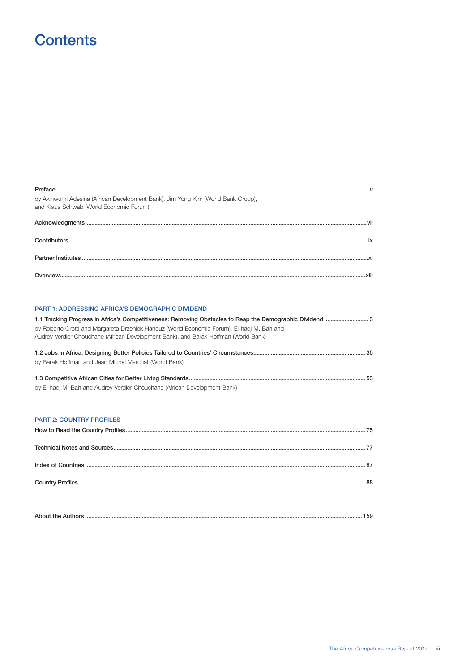# Contents

Preface ...

| by Akinwumi Adesina (African Development Bank), Jim Yong Kim (World Bank Group),<br>and Klaus Schwab (World Economic Forum) |  |
|-----------------------------------------------------------------------------------------------------------------------------|--|
|                                                                                                                             |  |
|                                                                                                                             |  |
|                                                                                                                             |  |
|                                                                                                                             |  |
|                                                                                                                             |  |

## PART 1: ADDRESSING AFRICA'S DEMOGRAPHIC DIVIDEND 1.1 Tracking Progress in Africa's Competitiveness: Removing Obstacles to Reap the Demographic Dividend.......................... 3 by Roberto Crotti and Margareta Drzeniek Hanouz (World Economic Forum), El-hadj M. Bah and Audrey Verdier-Chouchane (African Development Bank), and Barak Hoffman (World Bank) by Barak Hoffman and Jean Michel Marchat (World Bank) by El-hadj M. Bah and Audrey Verdier-Chouchane (African Development Bank) **PART 2: COUNTRY PROFILES**

| A <sub>ba</sub><br>ADOUT THE<br>1.15 |
|--------------------------------------|
|--------------------------------------|

 $\mathbf{v}$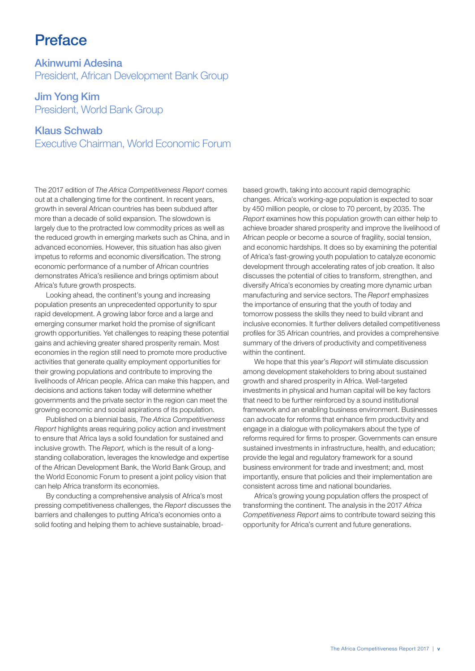# Preface

Akinwumi Adesina President, African Development Bank Group

Jim Yong Kim President, World Bank Group

### Klaus Schwab

Executive Chairman, World Economic Forum

The 2017 edition of *The Africa Competitiveness Report* comes out at a challenging time for the continent. In recent years, growth in several African countries has been subdued after more than a decade of solid expansion. The slowdown is largely due to the protracted low commodity prices as well as the reduced growth in emerging markets such as China, and in advanced economies. However, this situation has also given impetus to reforms and economic diversification. The strong economic performance of a number of African countries demonstrates Africa's resilience and brings optimism about Africa's future growth prospects.

Looking ahead, the continent's young and increasing population presents an unprecedented opportunity to spur rapid development. A growing labor force and a large and emerging consumer market hold the promise of significant growth opportunities. Yet challenges to reaping these potential gains and achieving greater shared prosperity remain. Most economies in the region still need to promote more productive activities that generate quality employment opportunities for their growing populations and contribute to improving the livelihoods of African people. Africa can make this happen, and decisions and actions taken today will determine whether governments and the private sector in the region can meet the growing economic and social aspirations of its population.

Published on a biennial basis, *The Africa Competitiveness Report* highlights areas requiring policy action and investment to ensure that Africa lays a solid foundation for sustained and inclusive growth. The *Report,* which is the result of a longstanding collaboration, leverages the knowledge and expertise of the African Development Bank, the World Bank Group, and the World Economic Forum to present a joint policy vision that can help Africa transform its economies.

By conducting a comprehensive analysis of Africa's most pressing competitiveness challenges, the *Report* discusses the barriers and challenges to putting Africa's economies onto a solid footing and helping them to achieve sustainable, broadbased growth, taking into account rapid demographic changes. Africa's working-age population is expected to soar by 450 million people, or close to 70 percent, by 2035. The *Report* examines how this population growth can either help to achieve broader shared prosperity and improve the livelihood of African people or become a source of fragility, social tension, and economic hardships. It does so by examining the potential of Africa's fast-growing youth population to catalyze economic development through accelerating rates of job creation. It also discusses the potential of cities to transform, strengthen, and diversify Africa's economies by creating more dynamic urban manufacturing and service sectors. The *Report* emphasizes the importance of ensuring that the youth of today and tomorrow possess the skills they need to build vibrant and inclusive economies. It further delivers detailed competitiveness profiles for 35 African countries, and provides a comprehensive summary of the drivers of productivity and competitiveness within the continent.

We hope that this year's *Report* will stimulate discussion among development stakeholders to bring about sustained growth and shared prosperity in Africa. Well-targeted investments in physical and human capital will be key factors that need to be further reinforced by a sound institutional framework and an enabling business environment. Businesses can advocate for reforms that enhance firm productivity and engage in a dialogue with policymakers about the type of reforms required for firms to prosper. Governments can ensure sustained investments in infrastructure, health, and education; provide the legal and regulatory framework for a sound business environment for trade and investment; and, most importantly, ensure that policies and their implementation are consistent across time and national boundaries.

Africa's growing young population offers the prospect of transforming the continent. The analysis in the 2017 *Africa Competitiveness Report* aims to contribute toward seizing this opportunity for Africa's current and future generations.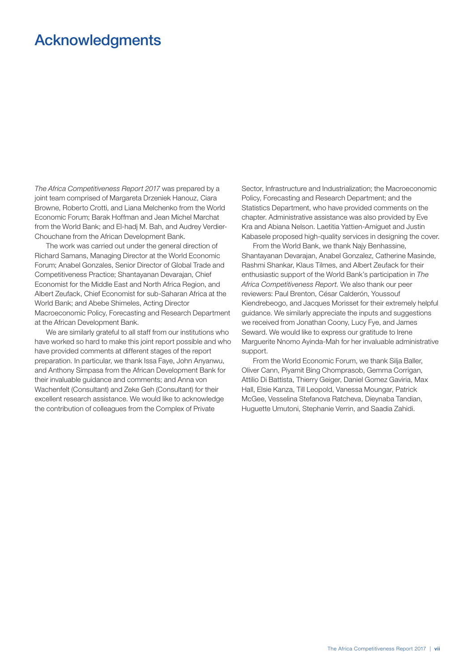# Acknowledgments

*The Africa Competitiveness Report 2017* was prepared by a joint team comprised of Margareta Drzeniek Hanouz, Ciara Browne, Roberto Crotti, and Liana Melchenko from the World Economic Forum; Barak Hoffman and Jean Michel Marchat from the World Bank; and El-hadj M. Bah, and Audrey Verdier-Chouchane from the African Development Bank.

The work was carried out under the general direction of Richard Samans, Managing Director at the World Economic Forum; Anabel Gonzales, Senior Director of Global Trade and Competitiveness Practice; Shantayanan Devarajan, Chief Economist for the Middle East and North Africa Region, and Albert Zeufack, Chief Economist for sub-Saharan Africa at the World Bank; and Abebe Shimeles, Acting Director Macroeconomic Policy, Forecasting and Research Department at the African Development Bank.

We are similarly grateful to all staff from our institutions who have worked so hard to make this joint report possible and who have provided comments at different stages of the report preparation. In particular, we thank Issa Faye, John Anyanwu, and Anthony Simpasa from the African Development Bank for their invaluable guidance and comments; and Anna von Wachenfelt (Consultant) and Zeke Geh (Consultant) for their excellent research assistance. We would like to acknowledge the contribution of colleagues from the Complex of Private

Sector, Infrastructure and Industrialization; the Macroeconomic Policy, Forecasting and Research Department; and the Statistics Department, who have provided comments on the chapter. Administrative assistance was also provided by Eve Kra and Abiana Nelson. Laetitia Yattien-Amiguet and Justin Kabasele proposed high-quality services in designing the cover.

From the World Bank, we thank Najy Benhassine, Shantayanan Devarajan, Anabel Gonzalez, Catherine Masinde, Rashmi Shankar, Klaus Tilmes, and Albert Zeufack for their enthusiastic support of the World Bank's participation in *The Africa Competitiveness Report.* We also thank our peer reviewers: Paul Brenton, César Calderón, Youssouf Kiendrebeogo, and Jacques Morisset for their extremely helpful guidance. We similarly appreciate the inputs and suggestions we received from Jonathan Coony, Lucy Fye, and James Seward. We would like to express our gratitude to Irene Marguerite Nnomo Ayinda-Mah for her invaluable administrative support.

From the World Economic Forum, we thank Silja Baller, Oliver Cann, Piyamit Bing Chomprasob, Gemma Corrigan, Attilio Di Battista, Thierry Geiger, Daniel Gomez Gaviria, Max Hall, Elsie Kanza, Till Leopold, Vanessa Moungar, Patrick McGee, Vesselina Stefanova Ratcheva, Dieynaba Tandian, Huguette Umutoni, Stephanie Verrin, and Saadia Zahidi.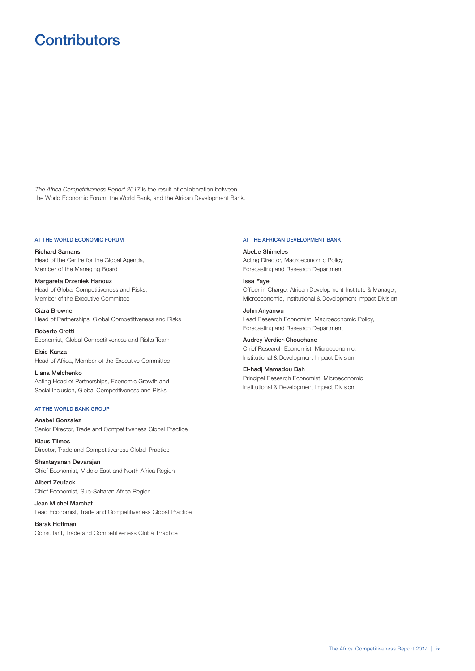# **Contributors**

*The Africa Competitiveness Report 2017* is the result of collaboration between the World Economic Forum, the World Bank, and the African Development Bank.

#### AT THE WORLD ECONOMIC FORUM

Richard Samans Head of the Centre for the Global Agenda, Member of the Managing Board

Margareta Drzeniek Hanouz Head of Global Competitiveness and Risks, Member of the Executive Committee

Ciara Browne Head of Partnerships, Global Competitiveness and Risks

Roberto Crotti Economist, Global Competitiveness and Risks Team

Elsie Kanza Head of Africa, Member of the Executive Committee

Liana Melchenko Acting Head of Partnerships, Economic Growth and Social Inclusion, Global Competitiveness and Risks

#### AT THE WORLD BANK GROUP

Anabel Gonzalez Senior Director, Trade and Competitiveness Global Practice

Klaus Tilmes Director, Trade and Competitiveness Global Practice

Shantayanan Devarajan Chief Economist, Middle East and North Africa Region

Albert Zeufack Chief Economist, Sub-Saharan Africa Region

Jean Michel Marchat Lead Economist, Trade and Competitiveness Global Practice

#### Barak Hoffman

Consultant, Trade and Competitiveness Global Practice

#### AT THE AFRICAN DEVELOPMENT BANK

#### Abebe Shimeles

Acting Director, Macroeconomic Policy, Forecasting and Research Department

#### Issa Faye

Officer in Charge, African Development Institute & Manager, Microeconomic, Institutional & Development Impact Division

John Anyanwu Lead Research Economist, Macroeconomic Policy, Forecasting and Research Department

#### Audrey Verdier-Chouchane

Chief Research Economist, Microeconomic, Institutional & Development Impact Division

### El-hadj Mamadou Bah

Principal Research Economist, Microeconomic, Institutional & Development Impact Division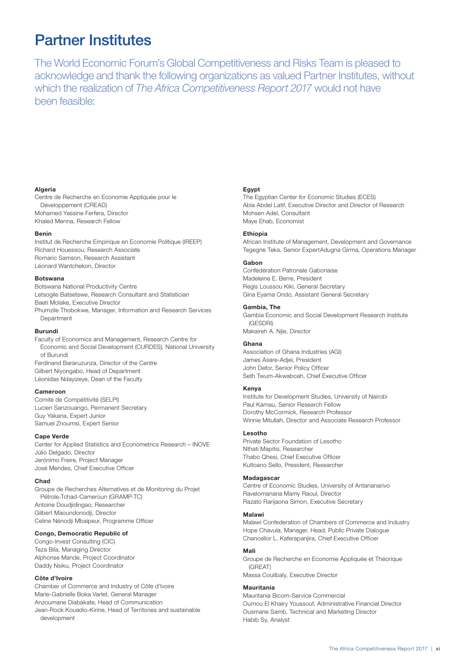# Partner Institutes

The World Economic Forum's Global Competitiveness and Risks Team is pleased to acknowledge and thank the following organizations as valued Partner Institutes, without which the realization of *The Africa Competitiveness Report 2017* would not have been feasible:

#### Algeria

Centre de Recherche en Economie Appliquée pour le Développement (CREAD) Mohamed Yassine Ferfera, Director Khaled Menna, Research Fellow

#### Benin

Institut de Recherche Empirique en Economie Politique (IREEP) Richard Houessou, Research Associate Romaric Samson, Research Assistant Léonard Wantchekon, Director

#### Botswana

Botswana National Productivity Centre Letsogile Batsetswe, Research Consultant and Statistician Baeti Molake, Executive Director Phumzile Thobokwe, Manager, Information and Research Services **Department** 

#### Burundi

Faculty of Economics and Management, Research Centre for Economic and Social Development (CURDES), National University of Burundi Ferdinand Bararuzunza, Director of the Centre Gilbert Niyongabo, Head of Department Léonidas Ndayizeye, Dean of the Faculty

#### Cameroon

Comité de Compétitivité (SELPI) Lucien Sanzouango, Permanent Secretary Guy Yakana, Expert Junior Samuel Znoumsi, Expert Senior

#### Cape Verde

Center for Applied Statistics and Econometrics Research – INOVE Júlio Delgado, Director Jerónimo Freire, Project Manager José Mendes, Chief Executive Officer

#### Chad

Groupe de Recherches Alternatives et de Monitoring du Projet Pétrole-Tchad-Cameroun (GRAMP-TC) Antoine Doudjidingao, Researcher Gilbert Maoundonodii, Director Celine Nénodji Mbaipeur, Programme Officer

#### Congo, Democratic Republic of

Congo-Invest Consulting (CIC) Teza Bila, Managing Director Alphonse Mande, Project Coordinator Daddy Nsiku, Project Coordinator

#### Côte d'Ivoire

Chamber of Commerce and Industry of Côte d'Ivoire Marie-Gabrielle Boka Varlet, General Manager Anzoumane Diabakate, Head of Communication Jean-Rock Kouadio-Kirine, Head of Territories and sustainable development

#### Egypt

The Egyptian Center for Economic Studies (ECES) Abla Abdel Latif, Executive Director and Director of Research Mohsen Adel, Consultant Maye Ehab, Economist

#### Ethiopia

African Institute of Management, Development and Governance Tegegne Teka, Senior ExpertAdugna Girma, Operations Manager

#### Gabon

Confédération Patronale Gabonaise Madeleine E. Berre, President Regis Loussou Kiki, General Secretary Gina Eyama Ondo, Assistant General Secretary

#### Gambia, The

Gambia Economic and Social Development Research Institute (GESDRI) Makaireh A. Njie, Director

#### Ghana

Association of Ghana Industries (AGI) James Asare-Adjei, President John Defor, Senior Policy Officer Seth Twum-Akwaboah, Chief Executive Officer

#### Kenya

Institute for Development Studies, University of Nairobi Paul Kamau, Senior Research Fellow Dorothy McCormick, Research Professor Winnie Mitullah, Director and Associate Research Professor

#### Lesotho

Private Sector Foundation of Lesotho Nthati Mapitsi, Researcher Thabo Qhesi, Chief Executive Officer Kutloano Sello, President, Researcher

#### Madagascar

Centre of Economic Studies, University of Antananarivo Ravelomanana Mamy Raoul, Director Razato Rarijaona Simon, Executive Secretary

#### Malawi

Malawi Confederation of Chambers of Commerce and Industry Hope Chavula, Manager, Head, Public Private Dialogue Chancellor L. Kaferapanjira, Chief Executive Officer

#### Mali

Groupe de Recherche en Economie Appliquée et Théorique (GREAT)

Massa Coulibaly, Executive Director

#### Mauritania

Mauritania Bicom-Service Commercial Oumou El Khairy Youssouf, Administrative Financial Director Ousmane Samb, Technical and Marketing Director Habib Sy, Analyst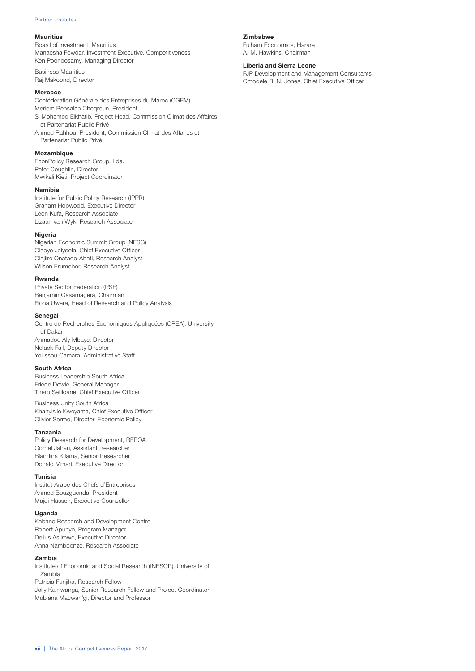#### Partner Institutes

#### Mauritius

Board of Investment, Mauritius Manaesha Fowdar, Investment Executive, Competitiveness Ken Poonoosamy, Managing Director

Business Mauritius Raj Makoond, Director

#### **Morocco**

Confédération Générale des Entreprises du Maroc (CGEM) Meriem Bensalah Cheqroun, President Si Mohamed Elkhatib, Project Head, Commission Climat des Affaires et Partenariat Public Privé Ahmed Rahhou, President, Commission Climat des Affaires et Partenariat Public Privé

#### Mozambique

EconPolicy Research Group, Lda. Peter Coughlin, Director Mwikali Kieti, Project Coordinator

#### Namibia

Institute for Public Policy Research (IPPR) Graham Hopwood, Executive Director Leon Kufa, Research Associate Lizaan van Wyk, Research Associate

#### Nigeria

Nigerian Economic Summit Group (NESG) Olaoye Jaiyeola, Chief Executive Officer Olajiire Onatade-Abati, Research Analyst Wilson Erumebor, Research Analyst

#### Rwanda

Private Sector Federation (PSF) Benjamin Gasamagera, Chairman Fiona Uwera, Head of Research and Policy Analysis

#### **Senegal**

Centre de Recherches Economiques Appliquées (CREA), University of Dakar Ahmadou Aly Mbaye, Director Ndiack Fall, Deputy Director Youssou Camara, Administrative Staff

#### South Africa

Business Leadership South Africa Friede Dowie, General Manager Thero Setiloane, Chief Executive Officer

Business Unity South Africa Khanyisile Kweyama, Chief Executive Officer Olivier Serrao, Director, Economic Policy

#### Tanzania

Policy Research for Development, REPOA Cornel Jahari, Assistant Researcher Blandina Kilama, Senior Researcher Donald Mmari, Executive Director

#### Tunisia

Institut Arabe des Chefs d'Entreprises Ahmed Bouzguenda, President Majdi Hassen, Executive Counsellor

#### Uganda

Kabano Research and Development Centre Robert Apunyo, Program Manager Delius Asiimwe, Executive Director Anna Namboonze, Research Associate

#### Zambia

Institute of Economic and Social Research (INESOR), University of Zambia Patricia Funjika, Research Fellow

Jolly Kamwanga, Senior Research Fellow and Project Coordinator Mubiana Macwan'gi, Director and Professor

#### Zimbabwe

Fulham Economics, Harare A. M. Hawkins, Chairman

### Liberia and Sierra Leone

FJP Development and Management Consultants Omodele R. N. Jones, Chief Executive Officer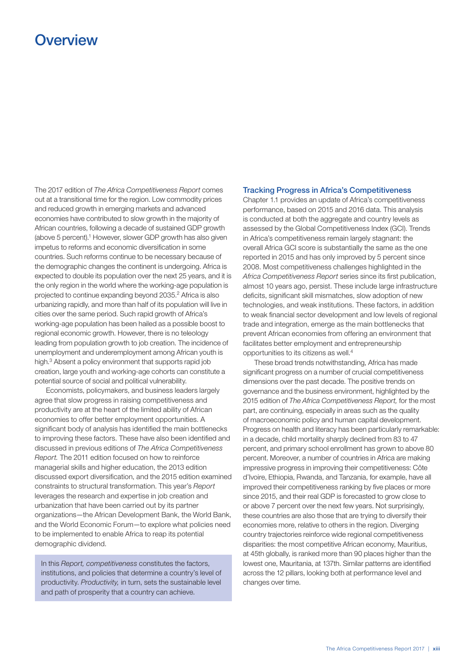# **Overview**

The 2017 edition of *The Africa Competitiveness Report* comes out at a transitional time for the region. Low commodity prices and reduced growth in emerging markets and advanced economies have contributed to slow growth in the majority of African countries, following a decade of sustained GDP growth (above 5 percent).<sup>1</sup> However, slower GDP growth has also given impetus to reforms and economic diversification in some countries. Such reforms continue to be necessary because of the demographic changes the continent is undergoing. Africa is expected to double its population over the next 25 years, and it is the only region in the world where the working-age population is projected to continue expanding beyond 2035.2 Africa is also urbanizing rapidly, and more than half of its population will live in cities over the same period. Such rapid growth of Africa's working-age population has been hailed as a possible boost to regional economic growth. However, there is no teleology leading from population growth to job creation. The incidence of unemployment and underemployment among African youth is high.3 Absent a policy environment that supports rapid job creation, large youth and working-age cohorts can constitute a potential source of social and political vulnerability.

Economists, policymakers, and business leaders largely agree that slow progress in raising competitiveness and productivity are at the heart of the limited ability of African economies to offer better employment opportunities. A significant body of analysis has identified the main bottlenecks to improving these factors. These have also been identified and discussed in previous editions of *The Africa Competitiveness Report.* The 2011 edition focused on how to reinforce managerial skills and higher education, the 2013 edition discussed export diversification, and the 2015 edition examined constraints to structural transformation. This year's *Report* leverages the research and expertise in job creation and urbanization that have been carried out by its partner organizations—the African Development Bank, the World Bank, and the World Economic Forum—to explore what policies need to be implemented to enable Africa to reap its potential demographic dividend.

In this *Report, competitiveness* constitutes the factors, institutions, and policies that determine a country's level of productivity. *Productivity,* in turn, sets the sustainable level and path of prosperity that a country can achieve.

### Tracking Progress in Africa's Competitiveness

Chapter 1.1 provides an update of Africa's competitiveness performance, based on 2015 and 2016 data. This analysis is conducted at both the aggregate and country levels as assessed by the Global Competitiveness Index (GCI). Trends in Africa's competitiveness remain largely stagnant: the overall Africa GCI score is substantially the same as the one reported in 2015 and has only improved by 5 percent since 2008. Most competitiveness challenges highlighted in the *Africa Competitiveness Report* series since its first publication, almost 10 years ago, persist. These include large infrastructure deficits, significant skill mismatches, slow adoption of new technologies, and weak institutions. These factors, in addition to weak financial sector development and low levels of regional trade and integration, emerge as the main bottlenecks that prevent African economies from offering an environment that facilitates better employment and entrepreneurship opportunities to its citizens as well.4

These broad trends notwithstanding, Africa has made significant progress on a number of crucial competitiveness dimensions over the past decade. The positive trends on governance and the business environment, highlighted by the 2015 edition of *The Africa Competitiveness Report,* for the most part, are continuing, especially in areas such as the quality of macroeconomic policy and human capital development. Progress on health and literacy has been particularly remarkable: in a decade, child mortality sharply declined from 83 to 47 percent, and primary school enrollment has grown to above 80 percent. Moreover, a number of countries in Africa are making impressive progress in improving their competitiveness: Côte d'Ivoire, Ethiopia, Rwanda, and Tanzania, for example, have all improved their competitiveness ranking by five places or more since 2015, and their real GDP is forecasted to grow close to or above 7 percent over the next few years. Not surprisingly, these countries are also those that are trying to diversify their economies more, relative to others in the region. Diverging country trajectories reinforce wide regional competitiveness disparities: the most competitive African economy, Mauritius, at 45th globally, is ranked more than 90 places higher than the lowest one, Mauritania, at 137th. Similar patterns are identified across the 12 pillars, looking both at performance level and changes over time.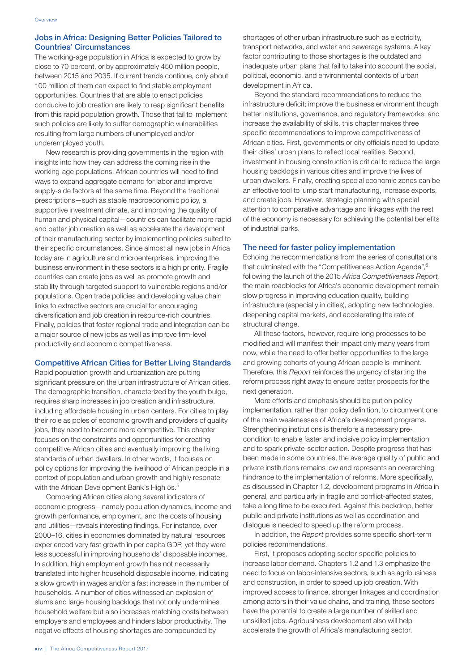### Jobs in Africa: Designing Better Policies Tailored to Countries' Circumstances

The working-age population in Africa is expected to grow by close to 70 percent, or by approximately 450 million people, between 2015 and 2035. If current trends continue, only about 100 million of them can expect to find stable employment opportunities. Countries that are able to enact policies conducive to job creation are likely to reap significant benefits from this rapid population growth. Those that fail to implement such policies are likely to suffer demographic vulnerabilities resulting from large numbers of unemployed and/or underemployed youth.

New research is providing governments in the region with insights into how they can address the coming rise in the working-age populations. African countries will need to find ways to expand aggregate demand for labor and improve supply-side factors at the same time. Beyond the traditional prescriptions—such as stable macroeconomic policy, a supportive investment climate, and improving the quality of human and physical capital—countries can facilitate more rapid and better job creation as well as accelerate the development of their manufacturing sector by implementing policies suited to their specific circumstances. Since almost all new jobs in Africa today are in agriculture and microenterprises, improving the business environment in these sectors is a high priority. Fragile countries can create jobs as well as promote growth and stability through targeted support to vulnerable regions and/or populations. Open trade policies and developing value chain links to extractive sectors are crucial for encouraging diversification and job creation in resource-rich countries. Finally, policies that foster regional trade and integration can be a major source of new jobs as well as improve firm-level productivity and economic competitiveness.

### Competitive African Cities for Better Living Standards

Rapid population growth and urbanization are putting significant pressure on the urban infrastructure of African cities. The demographic transition, characterized by the youth bulge, requires sharp increases in job creation and infrastructure, including affordable housing in urban centers. For cities to play their role as poles of economic growth and providers of quality jobs, they need to become more competitive. This chapter focuses on the constraints and opportunities for creating competitive African cities and eventually improving the living standards of urban dwellers. In other words, it focuses on policy options for improving the livelihood of African people in a context of population and urban growth and highly resonate with the African Development Bank's High 5s.<sup>5</sup>

Comparing African cities along several indicators of economic progress—namely population dynamics, income and growth performance, employment, and the costs of housing and utilities—reveals interesting findings. For instance, over 2000–16, cities in economies dominated by natural resources experienced very fast growth in per capita GDP, yet they were less successful in improving households' disposable incomes. In addition, high employment growth has not necessarily translated into higher household disposable income, indicating a slow growth in wages and/or a fast increase in the number of households. A number of cities witnessed an explosion of slums and large housing backlogs that not only undermines household welfare but also increases matching costs between employers and employees and hinders labor productivity. The negative effects of housing shortages are compounded by

shortages of other urban infrastructure such as electricity, transport networks, and water and sewerage systems. A key factor contributing to those shortages is the outdated and inadequate urban plans that fail to take into account the social, political, economic, and environmental contexts of urban development in Africa.

Beyond the standard recommendations to reduce the infrastructure deficit; improve the business environment though better institutions, governance, and regulatory frameworks; and increase the availability of skills, this chapter makes three specific recommendations to improve competitiveness of African cities. First, governments or city officials need to update their cities' urban plans to reflect local realities. Second, investment in housing construction is critical to reduce the large housing backlogs in various cities and improve the lives of urban dwellers. Finally, creating special economic zones can be an effective tool to jump start manufacturing, increase exports, and create jobs. However, strategic planning with special attention to comparative advantage and linkages with the rest of the economy is necessary for achieving the potential benefits of industrial parks.

### The need for faster policy implementation

Echoing the recommendations from the series of consultations that culminated with the "Competitiveness Action Agenda",<sup>6</sup> following the launch of the 2015 *Africa Competitiveness Report,* the main roadblocks for Africa's economic development remain slow progress in improving education quality, building infrastructure (especially in cities), adopting new technologies, deepening capital markets, and accelerating the rate of structural change.

All these factors, however, require long processes to be modified and will manifest their impact only many years from now, while the need to offer better opportunities to the large and growing cohorts of young African people is imminent. Therefore, this *Report* reinforces the urgency of starting the reform process right away to ensure better prospects for the next generation.

More efforts and emphasis should be put on policy implementation, rather than policy definition, to circumvent one of the main weaknesses of Africa's development programs. Strengthening institutions is therefore a necessary precondition to enable faster and incisive policy implementation and to spark private-sector action. Despite progress that has been made in some countries, the average quality of public and private institutions remains low and represents an overarching hindrance to the implementation of reforms. More specifically, as discussed in Chapter 1.2, development programs in Africa in general, and particularly in fragile and conflict-affected states, take a long time to be executed. Against this backdrop, better public and private institutions as well as coordination and dialogue is needed to speed up the reform process.

In addition, the *Report* provides some specific short-term policies recommendations.

First, it proposes adopting sector-specific policies to increase labor demand. Chapters 1.2 and 1.3 emphasize the need to focus on labor-intensive sectors, such as agribusiness and construction, in order to speed up job creation. With improved access to finance, stronger linkages and coordination among actors in their value chains, and training, these sectors have the potential to create a large number of skilled and unskilled jobs. Agribusiness development also will help accelerate the growth of Africa's manufacturing sector.